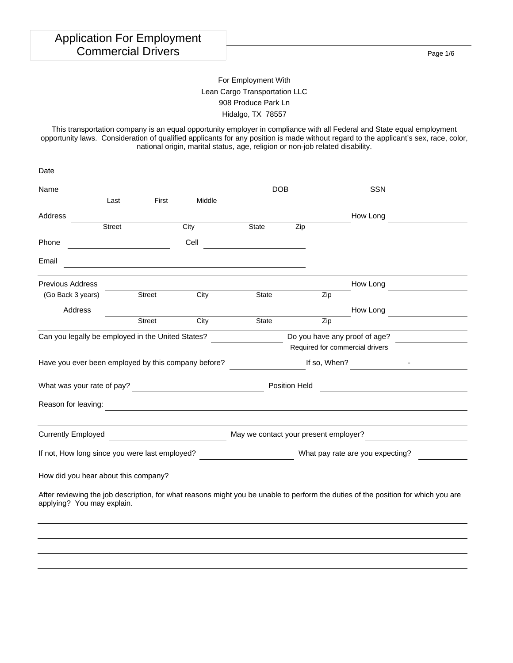Page 1/6

### For Employment With Lean Cargo Transportation LLC 908 Produce Park Ln Hidalgo, TX 78557

This transportation company is an equal opportunity employer in compliance with all Federal and State equal employment opportunity laws. Consideration of qualified applicants for any position is made without regard to the applicant's sex, race, color, national origin, marital status, age, religion or non-job related disability.

| Date                                                                                                                                                            |               |               |                                         |                                       |                   |              |                                                                                                                     |  |
|-----------------------------------------------------------------------------------------------------------------------------------------------------------------|---------------|---------------|-----------------------------------------|---------------------------------------|-------------------|--------------|---------------------------------------------------------------------------------------------------------------------|--|
| Name                                                                                                                                                            |               |               |                                         |                                       | <b>DOB</b>        |              | <b>SSN</b>                                                                                                          |  |
|                                                                                                                                                                 | Last          | First         | Middle                                  |                                       |                   |              |                                                                                                                     |  |
| Address                                                                                                                                                         |               |               |                                         |                                       |                   |              | How Long                                                                                                            |  |
|                                                                                                                                                                 | <b>Street</b> |               | City                                    | State                                 | $\overline{Z}$ ip |              |                                                                                                                     |  |
| Phone                                                                                                                                                           |               |               | Cell                                    |                                       |                   |              |                                                                                                                     |  |
| Email                                                                                                                                                           |               |               |                                         |                                       |                   |              |                                                                                                                     |  |
| <b>Previous Address</b>                                                                                                                                         |               |               |                                         |                                       |                   |              | How Long                                                                                                            |  |
| (Go Back 3 years)                                                                                                                                               |               | <b>Street</b> | City                                    | <b>State</b>                          |                   | Zip          |                                                                                                                     |  |
| Address                                                                                                                                                         |               |               |                                         |                                       |                   |              | How Long                                                                                                            |  |
|                                                                                                                                                                 |               | Street        | City                                    | <b>State</b>                          |                   | Zip          |                                                                                                                     |  |
| Can you legally be employed in the United States?                                                                                                               |               |               | Do you have any proof of age?           |                                       |                   |              |                                                                                                                     |  |
|                                                                                                                                                                 |               |               |                                         |                                       |                   |              | Required for commercial drivers                                                                                     |  |
| Have you ever been employed by this company before?                                                                                                             |               |               |                                         |                                       |                   | If so, When? |                                                                                                                     |  |
|                                                                                                                                                                 |               |               |                                         |                                       | Position Held     |              | <u> 1989 - Johann Barn, mars ann an t-Amhain an t-Amhain an t-Amhain an t-Amhain an t-Amhain an t-Amhain an t-A</u> |  |
| Reason for leaving:                                                                                                                                             |               |               |                                         |                                       |                   |              |                                                                                                                     |  |
| <b>Currently Employed</b>                                                                                                                                       |               |               | <u> 1990 - Johann Barbara, martin a</u> | May we contact your present employer? |                   |              |                                                                                                                     |  |
| If not, How long since you were last employed?                                                                                                                  |               |               |                                         |                                       |                   |              | What pay rate are you expecting?                                                                                    |  |
| How did you hear about this company?                                                                                                                            |               |               |                                         |                                       |                   |              | <u> 1989 - Andrea Stadt Britain, amerikansk politiker (d. 1989)</u>                                                 |  |
| After reviewing the job description, for what reasons might you be unable to perform the duties of the position for which you are<br>applying? You may explain. |               |               |                                         |                                       |                   |              |                                                                                                                     |  |
|                                                                                                                                                                 |               |               |                                         |                                       |                   |              |                                                                                                                     |  |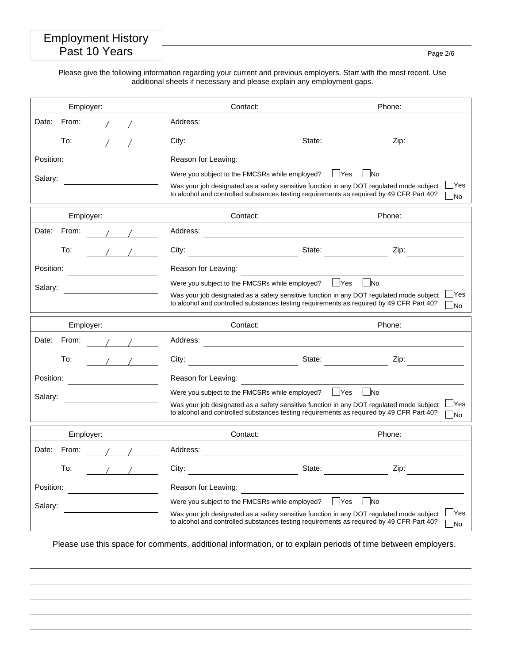## Employment History Past 10 Years Page 2/6

Please give the following information regarding your current and previous employers. Start with the most recent. Use additional sheets if necessary and please explain any employment gaps.

| Employer:            | Contact:                                                                                                                                                                                                                               | Phone:                                                         |
|----------------------|----------------------------------------------------------------------------------------------------------------------------------------------------------------------------------------------------------------------------------------|----------------------------------------------------------------|
| Date:<br>From:       | Address:                                                                                                                                                                                                                               |                                                                |
| To:<br>$\sqrt{1}$    | State:<br>City:                                                                                                                                                                                                                        | Zip:                                                           |
| Position:            | Reason for Leaving:                                                                                                                                                                                                                    |                                                                |
| Salary:              | Were you subject to the FMCSRs while employed?<br>Was your job designated as a safety sensitive function in any DOT regulated mode subject<br>to alcohol and controlled substances testing requirements as required by 49 CFR Part 40? | $\Box$ No<br>$\overline{\phantom{a}}$ Yes<br><b>Yes</b><br>1No |
| Employer:            | Contact:                                                                                                                                                                                                                               | Phone:                                                         |
| Date:<br>From:       | Address:                                                                                                                                                                                                                               |                                                                |
| To:                  | City:                                                                                                                                                                                                                                  | State:<br>Zip:                                                 |
| Position:            | Reason for Leaving:                                                                                                                                                                                                                    |                                                                |
| Salary:              | Were you subject to the FMCSRs while employed?<br>Was your job designated as a safety sensitive function in any DOT regulated mode subject<br>to alcohol and controlled substances testing requirements as required by 49 CFR Part 40? | l No<br>$\blacksquare$ Yes<br><b>Yes</b><br>No                 |
| Employer:            | Contact:                                                                                                                                                                                                                               | Phone:                                                         |
| From:<br>Date:       | Address:                                                                                                                                                                                                                               |                                                                |
| To:                  | City:<br><u> 1990 - Johann Barbara, martin a</u>                                                                                                                                                                                       | State:<br>Zip:                                                 |
| Position:            | Reason for Leaving:                                                                                                                                                                                                                    |                                                                |
| Salary:              | Were you subject to the FMCSRs while employed?<br>Was your job designated as a safety sensitive function in any DOT regulated mode subject<br>to alcohol and controlled substances testing requirements as required by 49 CFR Part 40? | $\vert$ No<br>  Yes<br><b>Yes</b><br><b>No</b>                 |
| Employer:            | Contact:                                                                                                                                                                                                                               | Phone:                                                         |
| Date:<br>From:       | Address:                                                                                                                                                                                                                               |                                                                |
| $\frac{1}{2}$<br>To: | City:<br>State:                                                                                                                                                                                                                        | Zip:                                                           |
| Position:            | Reason for Leaving:                                                                                                                                                                                                                    |                                                                |
| Salary:              | Were you subject to the FMCSRs while employed?<br>Was your job designated as a safety sensitive function in any DOT regulated mode subject<br>to alcohol and controlled substances testing requirements as required by 49 CFR Part 40? | Yes<br>- INo<br><b>IYes</b><br><b>No</b>                       |

Please use this space for comments, additional information, or to explain periods of time between employers.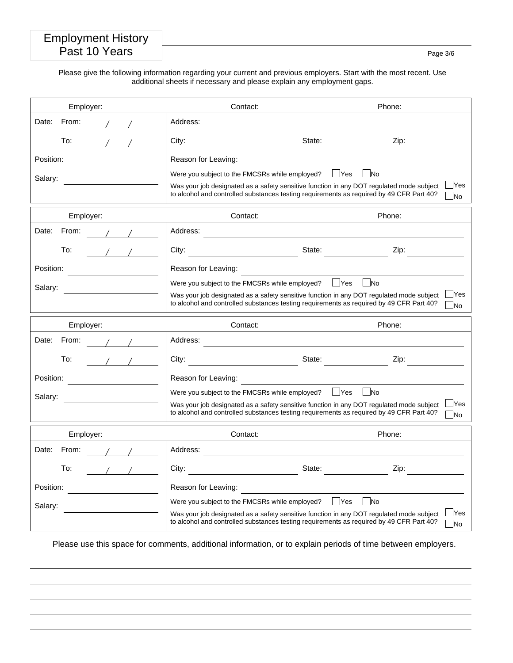## Employment History Past 10 Years **Past 10 Years** Page 3/6

Please give the following information regarding your current and previous employers. Start with the most recent. Use additional sheets if necessary and please explain any employment gaps.

| Employer:            | Contact:                                                                                                                                                                                                                               | Phone:                                                         |
|----------------------|----------------------------------------------------------------------------------------------------------------------------------------------------------------------------------------------------------------------------------------|----------------------------------------------------------------|
| Date:<br>From:       | Address:                                                                                                                                                                                                                               |                                                                |
| To:<br>$\sqrt{1}$    | State:<br>City:                                                                                                                                                                                                                        | Zip:                                                           |
| Position:            | Reason for Leaving:                                                                                                                                                                                                                    |                                                                |
| Salary:              | Were you subject to the FMCSRs while employed?<br>Was your job designated as a safety sensitive function in any DOT regulated mode subject<br>to alcohol and controlled substances testing requirements as required by 49 CFR Part 40? | $\Box$ No<br>$\overline{\phantom{a}}$ Yes<br><b>Yes</b><br>1No |
| Employer:            | Contact:                                                                                                                                                                                                                               | Phone:                                                         |
| Date:<br>From:       | Address:                                                                                                                                                                                                                               |                                                                |
| To:                  | City:                                                                                                                                                                                                                                  | State:<br>Zip:                                                 |
| Position:            | Reason for Leaving:                                                                                                                                                                                                                    |                                                                |
| Salary:              | Were you subject to the FMCSRs while employed?<br>Was your job designated as a safety sensitive function in any DOT regulated mode subject<br>to alcohol and controlled substances testing requirements as required by 49 CFR Part 40? | l No<br>$\blacksquare$ Yes<br><b>Yes</b><br>No                 |
| Employer:            | Contact:                                                                                                                                                                                                                               | Phone:                                                         |
| From:<br>Date:       | Address:                                                                                                                                                                                                                               |                                                                |
| To:                  | City:<br><u> 1990 - Johann Barbara, martin a</u>                                                                                                                                                                                       | State:<br>Zip:                                                 |
| Position:            | Reason for Leaving:                                                                                                                                                                                                                    |                                                                |
| Salary:              | Were you subject to the FMCSRs while employed?<br>Was your job designated as a safety sensitive function in any DOT regulated mode subject<br>to alcohol and controlled substances testing requirements as required by 49 CFR Part 40? | $\vert$ No<br>  Yes<br><b>Yes</b><br><b>No</b>                 |
| Employer:            | Contact:                                                                                                                                                                                                                               | Phone:                                                         |
| Date:<br>From:       | Address:                                                                                                                                                                                                                               |                                                                |
| $\frac{1}{2}$<br>To: | City:<br>State:                                                                                                                                                                                                                        | Zip:                                                           |
| Position:            | Reason for Leaving:                                                                                                                                                                                                                    |                                                                |
| Salary:              | Were you subject to the FMCSRs while employed?<br>Was your job designated as a safety sensitive function in any DOT regulated mode subject<br>to alcohol and controlled substances testing requirements as required by 49 CFR Part 40? | Yes<br>- INo<br><b>IYes</b><br><b>No</b>                       |

Please use this space for comments, additional information, or to explain periods of time between employers.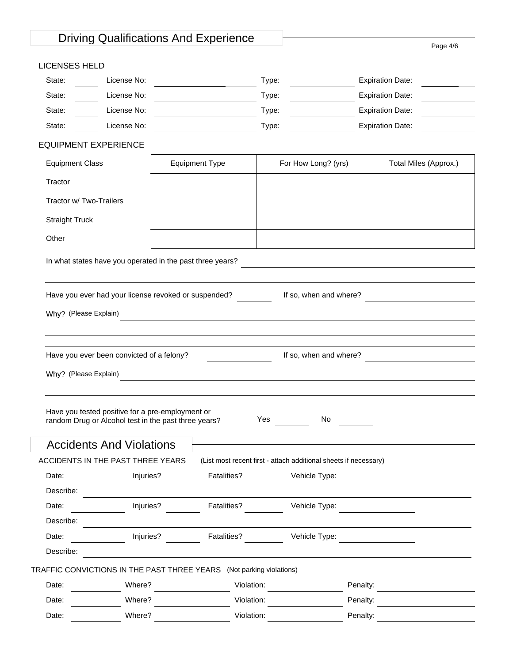## Driving Qualifications And Experience Page 4/6

#### LICENSES HELD

| State: | License No: | Type: | <b>Expiration Date:</b> |  |
|--------|-------------|-------|-------------------------|--|
| State: | License No: | Type: | <b>Expiration Date:</b> |  |
| State: | License No: | Type: | <b>Expiration Date:</b> |  |
| State: | License No: | Type: | <b>Expiration Date:</b> |  |

#### EQUIPMENT EXPERIENCE

| <b>Equipment Class</b>  | <b>Equipment Type</b> | For How Long? (yrs) | Total Miles (Approx.) |
|-------------------------|-----------------------|---------------------|-----------------------|
| Tractor                 |                       |                     |                       |
| Tractor w/ Two-Trailers |                       |                     |                       |
| <b>Straight Truck</b>   |                       |                     |                       |
| Other                   |                       |                     |                       |

In what states have you operated in the past three years?

Have you ever had your license revoked or suspended? If so, when and where? If so, when and where  $\sim$ 

|  |  | Why? (Please Explain) |
|--|--|-----------------------|
|--|--|-----------------------|

Have you ever been convicted of a felony? **If so, when and where?** <u>In the section of the section of the section</u>

Why? (Please Explain)

| Have you tested positive for a pre-employment or<br>random Drug or Alcohol test in the past three years? | Yes | No |
|----------------------------------------------------------------------------------------------------------|-----|----|
|                                                                                                          |     |    |

## Accidents And Violations

|           | ACCIDENTS IN THE PAST THREE YEARS                                    |                    | (List most recent first - attach additional sheets if necessary) |  |
|-----------|----------------------------------------------------------------------|--------------------|------------------------------------------------------------------|--|
| Date:     | Injuries?                                                            | Fatalities?        | Vehicle Type:                                                    |  |
| Describe: |                                                                      |                    |                                                                  |  |
| Date:     | Injuries?                                                            | <b>Fatalities?</b> | Vehicle Type:                                                    |  |
| Describe: |                                                                      |                    |                                                                  |  |
| Date:     | Injuries?                                                            | <b>Fatalities?</b> | Vehicle Type:                                                    |  |
| Describe: |                                                                      |                    |                                                                  |  |
|           | TRAFFIC CONVICTIONS IN THE PAST THREE YEARS (Not parking violations) |                    |                                                                  |  |
| Date:     | Where?                                                               | Violation:         | Penalty:                                                         |  |
|           |                                                                      |                    |                                                                  |  |

Date: Where? Where? Violation: Winder Penalty: Penalty:

Date: Where? Violation: Violation: Penalty: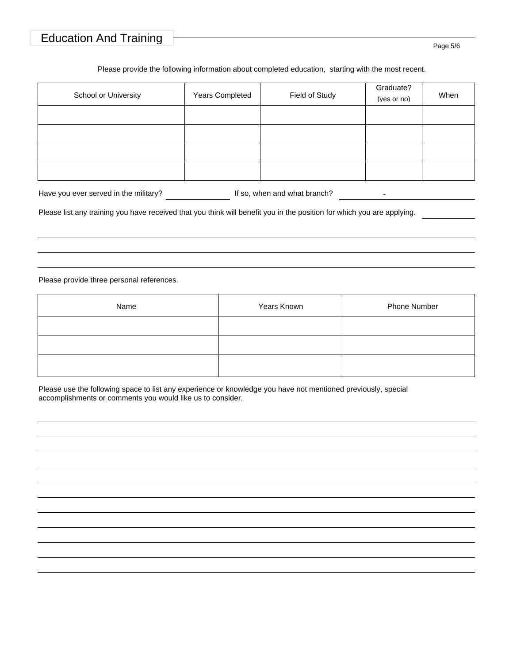# Education And Training Page 5/6

#### Please provide the following information about completed education, starting with the most recent.

| School or University | Years Completed | Field of Study | Graduate?<br>(yes or no) | When |
|----------------------|-----------------|----------------|--------------------------|------|
|                      |                 |                |                          |      |
|                      |                 |                |                          |      |
|                      |                 |                |                          |      |
|                      |                 |                |                          |      |

| Have you ever served in the military? | If so, when and what branch? |  |  |
|---------------------------------------|------------------------------|--|--|
|---------------------------------------|------------------------------|--|--|

Please list any training you have received that you think will benefit you in the position for which you are applying.

Please provide three personal references.

| Name | Years Known | Phone Number |
|------|-------------|--------------|
|      |             |              |
|      |             |              |
|      |             |              |

Please use the following space to list any experience or knowledge you have not mentioned previously, special accomplishments or comments you would like us to consider.